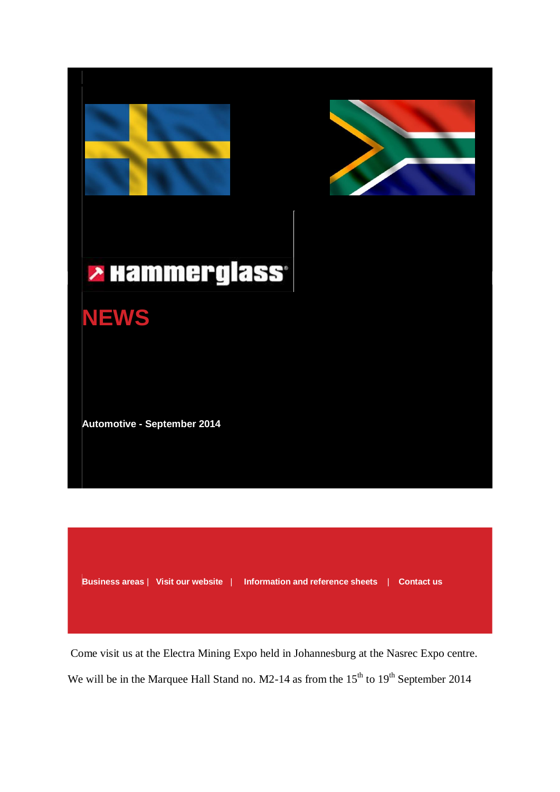



# **> Hammerglass**



**Automotive - September 2014**

**[Business areas](http://www.hammerglass.com/business-areas/)** | **[Visit our website](http://www.hammerglass.com/)** | **[Information and reference sheets](http://www.hammerglass.com/download/)** | **[Contact us](http://www.hammerglass.com/business-areas/automotive/order-delivery/)**

Come visit us at the Electra Mining Expo held in Johannesburg at the Nasrec Expo centre. We will be in the Marquee Hall Stand no.  $M2-14$  as from the  $15<sup>th</sup>$  to  $19<sup>th</sup>$  September 2014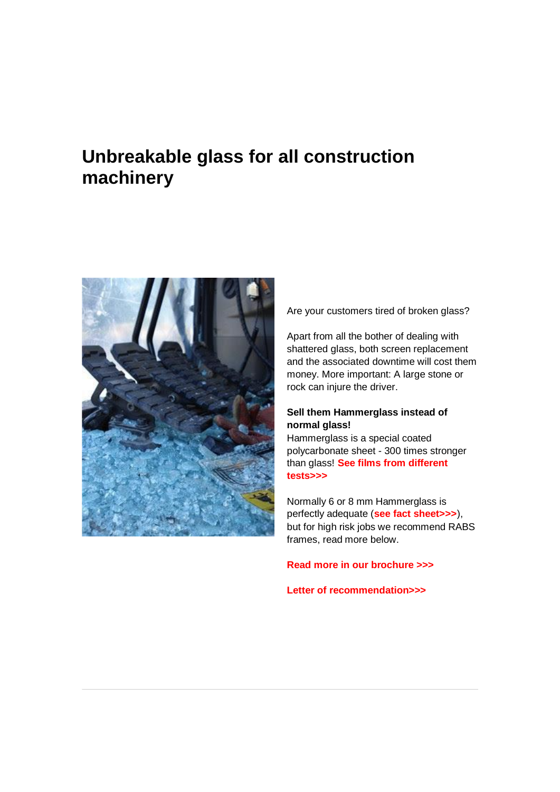## **Unbreakable glass for all construction machinery**



Are your customers tired of broken glass?

Apart from all the bother of dealing with shattered glass, both screen replacement and the associated downtime will cost them money. More important: A large stone or rock can injure the driver.

#### **Sell them Hammerglass instead of normal glass!**

Hammerglass is a special coated polycarbonate sheet - 300 times stronger than glass! **[See films from different](http://www.hammerglass.com/business-areas/automotive/)  [tests>>>](http://www.hammerglass.com/business-areas/automotive/)**

Normally 6 or 8 mm Hammerglass is perfectly adequate (**[see fact sheet>>>](http://app.egenerator.se/Users/632/UserFiles/PDF/Faktablad/Automotive_Faktablad_ENG_Distributor_Standard_Screens_lr.pdf)**), but for high risk jobs we recommend RABS frames, read more below.

#### **[Read more in our brochure >>>](http://www.hammerglass.com/lib/pageflip/?id=109)**

#### **[Letter of recommendation>>>](http://app.egenerator.se/Users/632/UserFiles/Fordon/Gill_Demolitions.pdf)**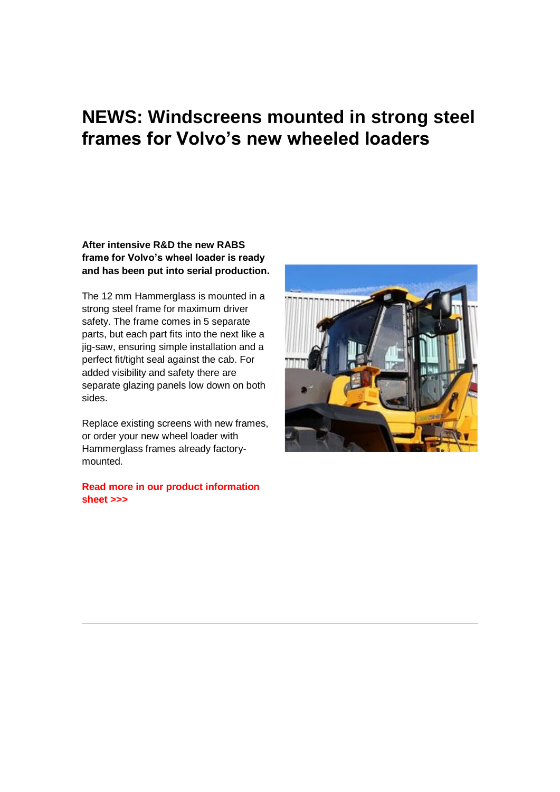## **NEWS: Windscreens mounted in strong steel frames for Volvo's new wheeled loaders**

#### **After intensive R&D the new RABS frame for Volvo's wheel loader is ready and has been put into serial production.**

The 12 mm Hammerglass is mounted in a strong steel frame for maximum driver safety. The frame comes in 5 separate parts, but each part fits into the next like a jig-saw, ensuring simple installation and a perfect fit/tight seal against the cab. For added visibility and safety there are separate glazing panels low down on both sides.

Replace existing screens with new frames, or order your new wheel loader with Hammerglass frames already factorymounted.

**[Read more in our product information](http://app.egenerator.se/Users/632/UserFiles/PDF/Faktablad/Automotive_Faktablad_ENG_Volvo_L60-350_lr.pdf)  [sheet >>>](http://app.egenerator.se/Users/632/UserFiles/PDF/Faktablad/Automotive_Faktablad_ENG_Volvo_L60-350_lr.pdf)**

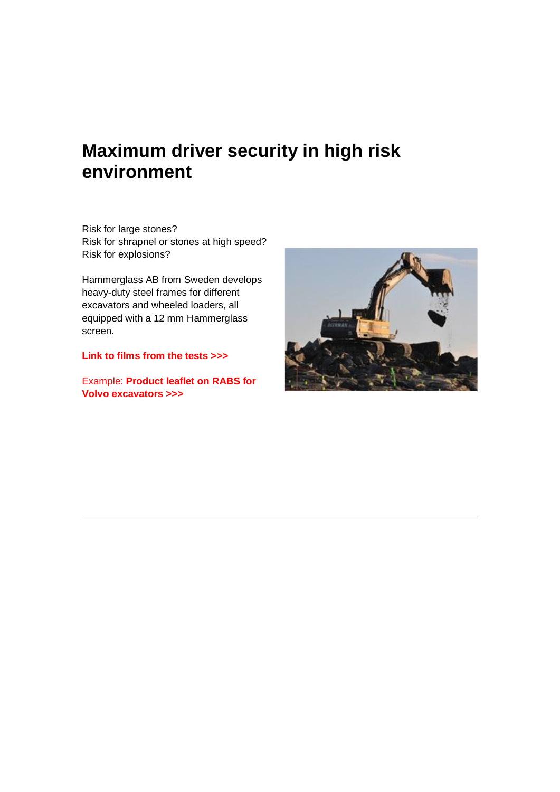### **Maximum driver security in high risk environment**

Risk for large stones? Risk for shrapnel or stones at high speed? Risk for explosions?

Hammerglass AB from Sweden develops heavy-duty steel frames for different excavators and wheeled loaders, all equipped with a 12 mm Hammerglass screen.

**[Link to films from the tests >>>](http://www.hammerglass.com/business-areas/automotive/)**

Example: **[Product leaflet on RABS for](http://app.egenerator.se/Users/632/UserFiles/PDF/Faktablad/Automotive_Faktablad_ENG_Volvo_EC-EW_lr.pdf)  Volvo [excavators >>>](http://app.egenerator.se/Users/632/UserFiles/PDF/Faktablad/Automotive_Faktablad_ENG_Volvo_EC-EW_lr.pdf)**